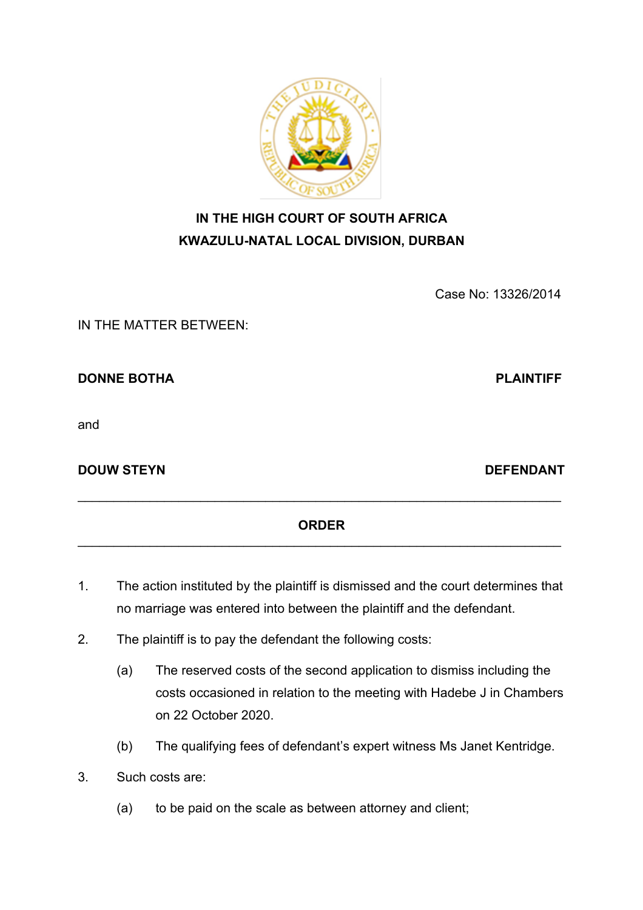Case No: 13326/2014

IN THE MATTER BETWEEN:

**DONNE BOTHA** PLAINTIFF

and

**DOUW STEYN DEFENDANT** 

### **ORDER**  $\mathcal{L}_\text{max}$  , and the contribution of the contribution of the contribution of the contribution of the contribution of the contribution of the contribution of the contribution of the contribution of the contribution of t

- 1. The action instituted by the plaintiff is dismissed and the court determines that no marriage was entered into between the plaintiff and the defendant.
- 2. The plaintiff is to pay the defendant the following costs:
	- (a) The reserved costs of the second application to dismiss including the costs occasioned in relation to the meeting with Hadebe J in Chambers on 22 October 2020.
	- (b) The qualifying fees of defendant's expert witness Ms Janet Kentridge.
- 3. Such costs are:
	- (a) to be paid on the scale as between attorney and client;



**IN THE HIGH COURT OF SOUTH AFRICA**

**KWAZULU-NATAL LOCAL DIVISION, DURBAN**

 $\mathcal{L}_\text{max}$  , and the contribution of the contribution of the contribution of the contribution of the contribution of the contribution of the contribution of the contribution of the contribution of the contribution of t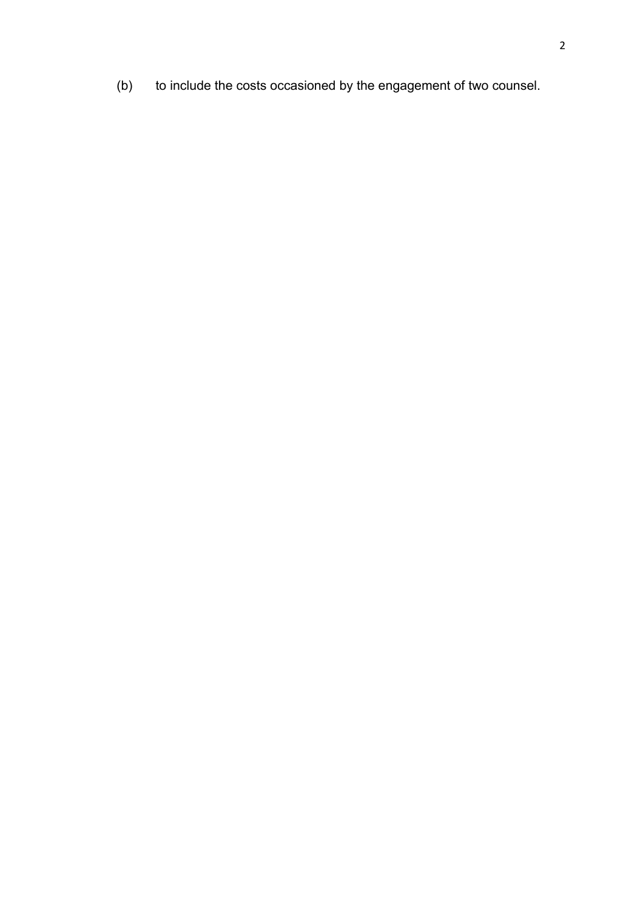(b) to include the costs occasioned by the engagement of two counsel.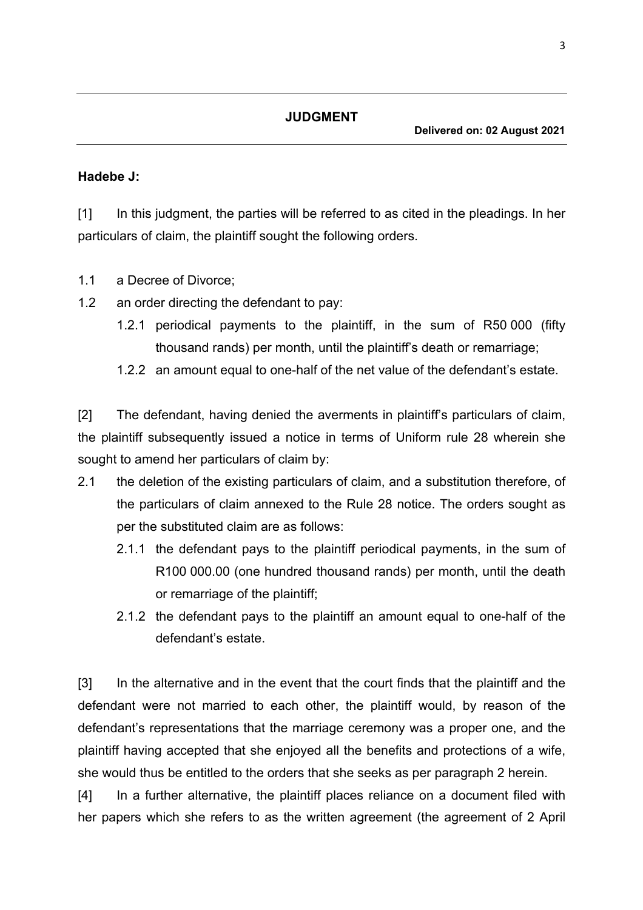#### **JUDGMENT**

#### **Hadebe J:**

[1] In this judgment, the parties will be referred to as cited in the pleadings. In her particulars of claim, the plaintiff sought the following orders.

- 1.1 a Decree of Divorce;
- 1.2 an order directing the defendant to pay:
	- 1.2.1 periodical payments to the plaintiff, in the sum of R50 000 (fifty thousand rands) per month, until the plaintiff's death or remarriage;
	- 1.2.2 an amount equal to one-half of the net value of the defendant's estate.

[2] The defendant, having denied the averments in plaintiff's particulars of claim, the plaintiff subsequently issued a notice in terms of Uniform rule 28 wherein she sought to amend her particulars of claim by:

- 2.1 the deletion of the existing particulars of claim, and a substitution therefore, of the particulars of claim annexed to the Rule 28 notice. The orders sought as per the substituted claim are as follows:
	- 2.1.1 the defendant pays to the plaintiff periodical payments, in the sum of R100 000.00 (one hundred thousand rands) per month, until the death or remarriage of the plaintiff;
	- 2.1.2 the defendant pays to the plaintiff an amount equal to one-half of the defendant's estate.

[3] In the alternative and in the event that the court finds that the plaintiff and the defendant were not married to each other, the plaintiff would, by reason of the defendant's representations that the marriage ceremony was a proper one, and the plaintiff having accepted that she enjoyed all the benefits and protections of a wife, she would thus be entitled to the orders that she seeks as per paragraph 2 herein.

[4] In a further alternative, the plaintiff places reliance on a document filed with her papers which she refers to as the written agreement (the agreement of 2 April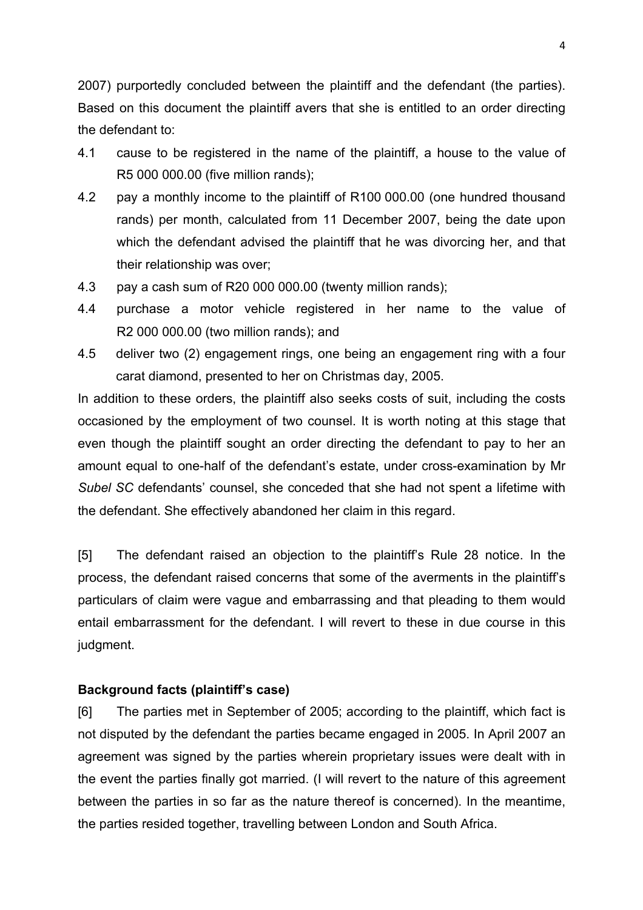2007) purportedly concluded between the plaintiff and the defendant (the parties). Based on this document the plaintiff avers that she is entitled to an order directing the defendant to:

- 4.1 cause to be registered in the name of the plaintiff, a house to the value of R5 000 000.00 (five million rands);
- 4.2 pay a monthly income to the plaintiff of R100 000.00 (one hundred thousand rands) per month, calculated from 11 December 2007, being the date upon which the defendant advised the plaintiff that he was divorcing her, and that their relationship was over;
- 4.3 pay a cash sum of R20 000 000.00 (twenty million rands);
- 4.4 purchase a motor vehicle registered in her name to the value of R2 000 000.00 (two million rands); and
- 4.5 deliver two (2) engagement rings, one being an engagement ring with a four carat diamond, presented to her on Christmas day, 2005.

In addition to these orders, the plaintiff also seeks costs of suit, including the costs occasioned by the employment of two counsel. It is worth noting at this stage that even though the plaintiff sought an order directing the defendant to pay to her an amount equal to one-half of the defendant's estate, under cross-examination by Mr *Subel SC* defendants' counsel, she conceded that she had not spent a lifetime with the defendant. She effectively abandoned her claim in this regard.

[5] The defendant raised an objection to the plaintiff's Rule 28 notice. In the process, the defendant raised concerns that some of the averments in the plaintiff's particulars of claim were vague and embarrassing and that pleading to them would entail embarrassment for the defendant. I will revert to these in due course in this judgment.

#### **Background facts (plaintiff's case)**

[6] The parties met in September of 2005; according to the plaintiff, which fact is not disputed by the defendant the parties became engaged in 2005. In April 2007 an agreement was signed by the parties wherein proprietary issues were dealt with in the event the parties finally got married. (I will revert to the nature of this agreement between the parties in so far as the nature thereof is concerned). In the meantime, the parties resided together, travelling between London and South Africa.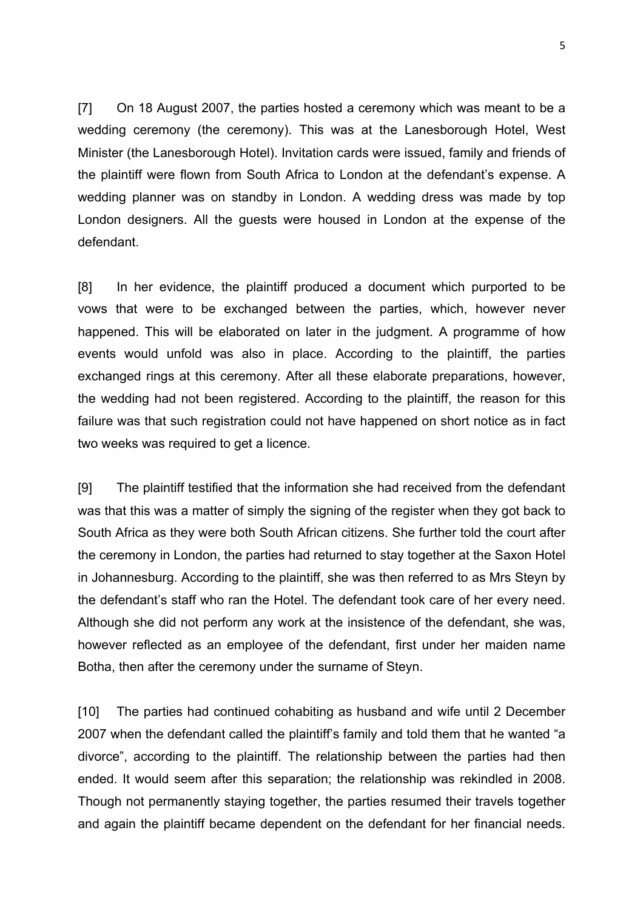[7] On 18 August 2007, the parties hosted a ceremony which was meant to be a wedding ceremony (the ceremony). This was at the Lanesborough Hotel, West Minister (the Lanesborough Hotel). Invitation cards were issued, family and friends of the plaintiff were flown from South Africa to London at the defendant's expense. A wedding planner was on standby in London. A wedding dress was made by top London designers. All the guests were housed in London at the expense of the defendant.

[8] In her evidence, the plaintiff produced a document which purported to be vows that were to be exchanged between the parties, which, however never happened. This will be elaborated on later in the judgment. A programme of how events would unfold was also in place. According to the plaintiff, the parties exchanged rings at this ceremony. After all these elaborate preparations, however, the wedding had not been registered. According to the plaintiff, the reason for this failure was that such registration could not have happened on short notice as in fact two weeks was required to get a licence.

[9] The plaintiff testified that the information she had received from the defendant was that this was a matter of simply the signing of the register when they got back to South Africa as they were both South African citizens. She further told the court after the ceremony in London, the parties had returned to stay together at the Saxon Hotel in Johannesburg. According to the plaintiff, she was then referred to as Mrs Steyn by the defendant's staff who ran the Hotel. The defendant took care of her every need. Although she did not perform any work at the insistence of the defendant, she was, however reflected as an employee of the defendant, first under her maiden name Botha, then after the ceremony under the surname of Steyn.

[10] The parties had continued cohabiting as husband and wife until 2 December 2007 when the defendant called the plaintiff's family and told them that he wanted "a divorce", according to the plaintiff. The relationship between the parties had then ended. It would seem after this separation; the relationship was rekindled in 2008. Though not permanently staying together, the parties resumed their travels together and again the plaintiff became dependent on the defendant for her financial needs.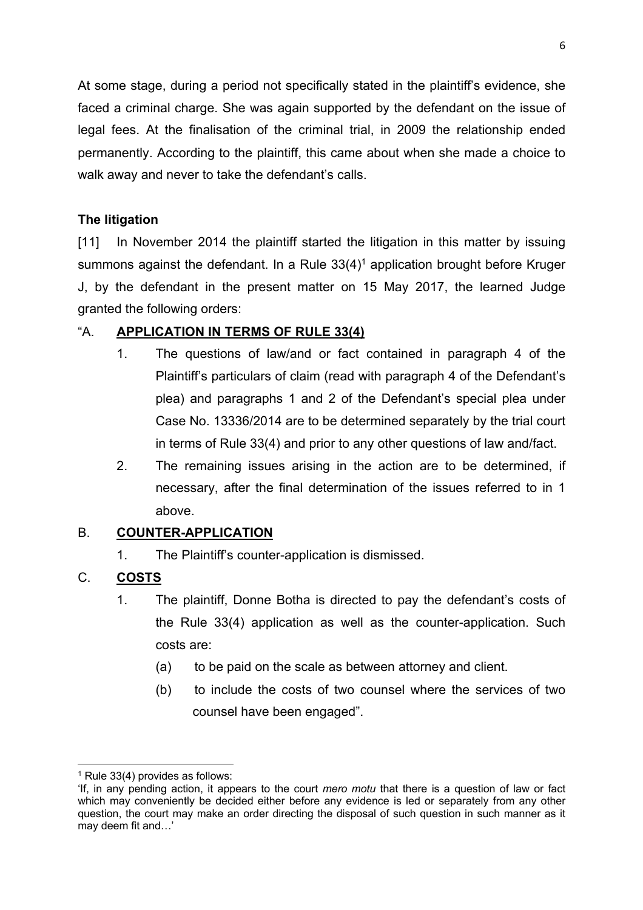At some stage, during a period not specifically stated in the plaintiff's evidence, she faced a criminal charge. She was again supported by the defendant on the issue of legal fees. At the finalisation of the criminal trial, in 2009 the relationship ended permanently. According to the plaintiff, this came about when she made a choice to walk away and never to take the defendant's calls.

## **The litigation**

[11] In November 2014 the plaintiff started the litigation in this matter by issuing summons against the defendant. In a Rule  $33(4)^1$  application brought before Kruger J, by the defendant in the present matter on 15 May 2017, the learned Judge granted the following orders:

## "A. **APPLICATION IN TERMS OF RULE 33(4)**

- 1. The questions of law/and or fact contained in paragraph 4 of the Plaintiff's particulars of claim (read with paragraph 4 of the Defendant's plea) and paragraphs 1 and 2 of the Defendant's special plea under Case No. 13336/2014 are to be determined separately by the trial court in terms of Rule 33(4) and prior to any other questions of law and/fact.
- 2. The remaining issues arising in the action are to be determined, if necessary, after the final determination of the issues referred to in 1 above.

## B. **COUNTER-APPLICATION**

1. The Plaintiff's counter-application is dismissed.

## C. **COSTS**

- 1. The plaintiff, Donne Botha is directed to pay the defendant's costs of the Rule 33(4) application as well as the counter-application. Such costs are:
	- (a) to be paid on the scale as between attorney and client.
	- (b) to include the costs of two counsel where the services of two counsel have been engaged".

 $<sup>1</sup>$  Rule 33(4) provides as follows:</sup>

<sup>&#</sup>x27;If, in any pending action, it appears to the court *mero motu* that there is a question of law or fact which may conveniently be decided either before any evidence is led or separately from any other question, the court may make an order directing the disposal of such question in such manner as it may deem fit and…'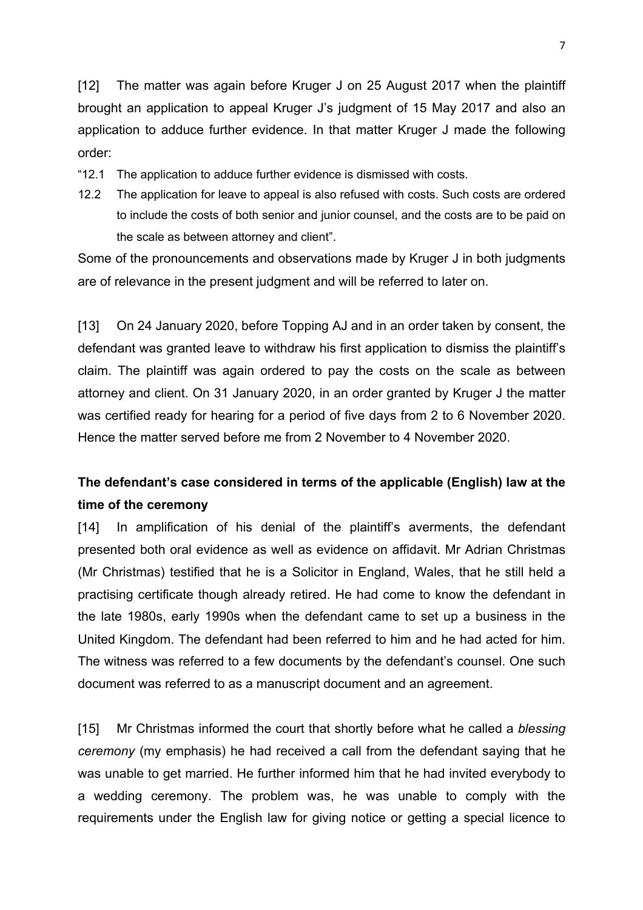[12] The matter was again before Kruger J on 25 August 2017 when the plaintiff brought an application to appeal Kruger J's judgment of 15 May 2017 and also an application to adduce further evidence. In that matter Kruger J made the following order:

"12.1 The application to adduce further evidence is dismissed with costs.

12.2 The application for leave to appeal is also refused with costs. Such costs are ordered to include the costs of both senior and junior counsel, and the costs are to be paid on the scale as between attorney and client".

Some of the pronouncements and observations made by Kruger J in both judgments are of relevance in the present judgment and will be referred to later on.

[13] On 24 January 2020, before Topping AJ and in an order taken by consent, the defendant was granted leave to withdraw his first application to dismiss the plaintiff's claim. The plaintiff was again ordered to pay the costs on the scale as between attorney and client. On 31 January 2020, in an order granted by Kruger J the matter was certified ready for hearing for a period of five days from 2 to 6 November 2020. Hence the matter served before me from 2 November to 4 November 2020.

# **The defendant's case considered in terms of the applicable (English) law at the time of the ceremony**

[14] In amplification of his denial of the plaintiff's averments, the defendant presented both oral evidence as well as evidence on affidavit. Mr Adrian Christmas (Mr Christmas) testified that he is a Solicitor in England, Wales, that he still held a practising certificate though already retired. He had come to know the defendant in the late 1980s, early 1990s when the defendant came to set up a business in the United Kingdom. The defendant had been referred to him and he had acted for him. The witness was referred to a few documents by the defendant's counsel. One such document was referred to as a manuscript document and an agreement.

[15] Mr Christmas informed the court that shortly before what he called a *blessing ceremony* (my emphasis) he had received a call from the defendant saying that he was unable to get married. He further informed him that he had invited everybody to a wedding ceremony. The problem was, he was unable to comply with the requirements under the English law for giving notice or getting a special licence to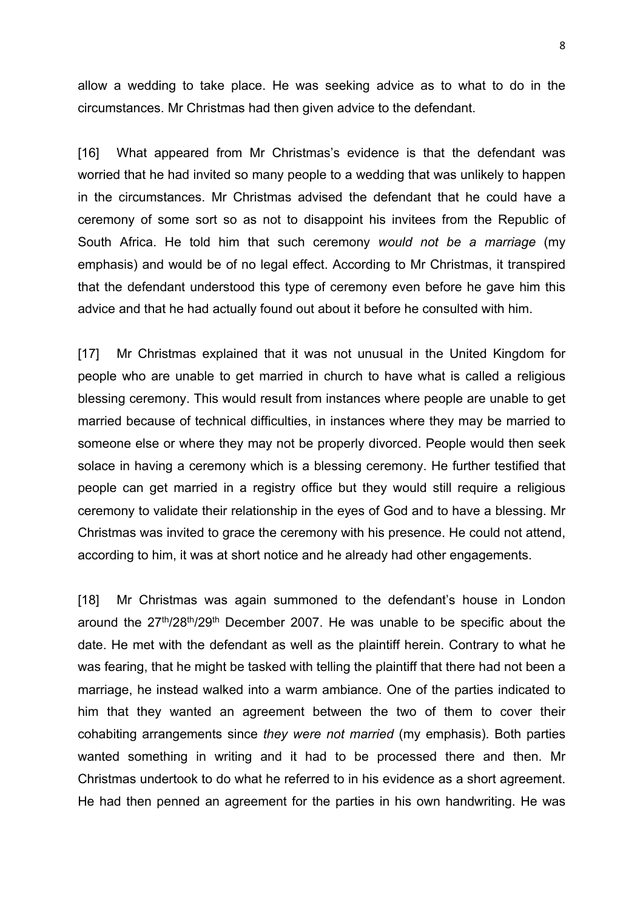allow a wedding to take place. He was seeking advice as to what to do in the circumstances. Mr Christmas had then given advice to the defendant.

[16] What appeared from Mr Christmas's evidence is that the defendant was worried that he had invited so many people to a wedding that was unlikely to happen in the circumstances. Mr Christmas advised the defendant that he could have a ceremony of some sort so as not to disappoint his invitees from the Republic of South Africa. He told him that such ceremony *would not be a marriage* (my emphasis) and would be of no legal effect. According to Mr Christmas, it transpired that the defendant understood this type of ceremony even before he gave him this advice and that he had actually found out about it before he consulted with him.

[17] Mr Christmas explained that it was not unusual in the United Kingdom for people who are unable to get married in church to have what is called a religious blessing ceremony. This would result from instances where people are unable to get married because of technical difficulties, in instances where they may be married to someone else or where they may not be properly divorced. People would then seek solace in having a ceremony which is a blessing ceremony. He further testified that people can get married in a registry office but they would still require a religious ceremony to validate their relationship in the eyes of God and to have a blessing. Mr Christmas was invited to grace the ceremony with his presence. He could not attend, according to him, it was at short notice and he already had other engagements.

[18] Mr Christmas was again summoned to the defendant's house in London around the  $27<sup>th</sup>/28<sup>th</sup>/29<sup>th</sup>$  December 2007. He was unable to be specific about the date. He met with the defendant as well as the plaintiff herein. Contrary to what he was fearing, that he might be tasked with telling the plaintiff that there had not been a marriage, he instead walked into a warm ambiance. One of the parties indicated to him that they wanted an agreement between the two of them to cover their cohabiting arrangements since *they were not married* (my emphasis). Both parties wanted something in writing and it had to be processed there and then. Mr Christmas undertook to do what he referred to in his evidence as a short agreement. He had then penned an agreement for the parties in his own handwriting. He was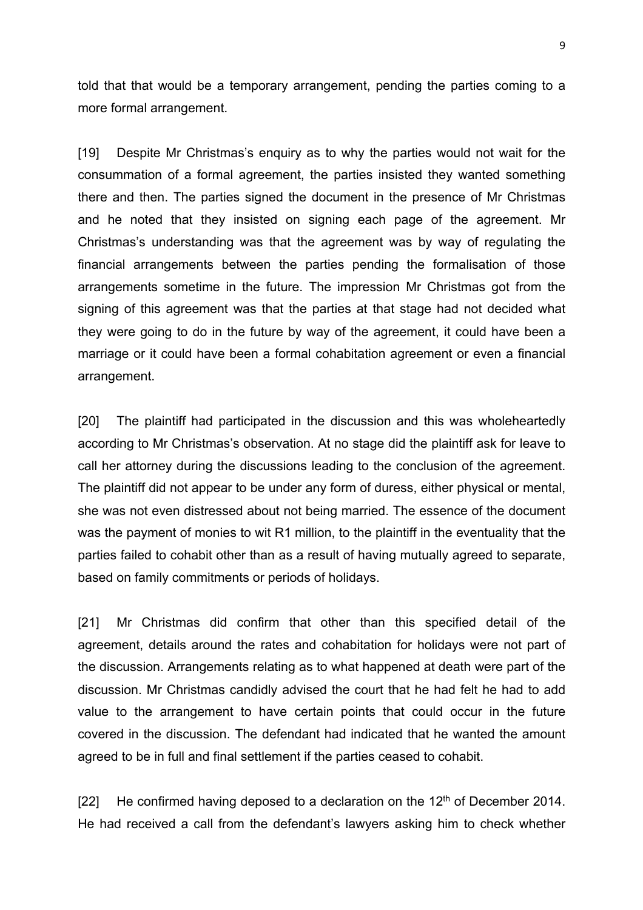told that that would be a temporary arrangement, pending the parties coming to a more formal arrangement.

[19] Despite Mr Christmas's enquiry as to why the parties would not wait for the consummation of a formal agreement, the parties insisted they wanted something there and then. The parties signed the document in the presence of Mr Christmas and he noted that they insisted on signing each page of the agreement. Mr Christmas's understanding was that the agreement was by way of regulating the financial arrangements between the parties pending the formalisation of those arrangements sometime in the future. The impression Mr Christmas got from the signing of this agreement was that the parties at that stage had not decided what they were going to do in the future by way of the agreement, it could have been a marriage or it could have been a formal cohabitation agreement or even a financial arrangement.

[20] The plaintiff had participated in the discussion and this was wholeheartedly according to Mr Christmas's observation. At no stage did the plaintiff ask for leave to call her attorney during the discussions leading to the conclusion of the agreement. The plaintiff did not appear to be under any form of duress, either physical or mental, she was not even distressed about not being married. The essence of the document was the payment of monies to wit R1 million, to the plaintiff in the eventuality that the parties failed to cohabit other than as a result of having mutually agreed to separate, based on family commitments or periods of holidays.

[21] Mr Christmas did confirm that other than this specified detail of the agreement, details around the rates and cohabitation for holidays were not part of the discussion. Arrangements relating as to what happened at death were part of the discussion. Mr Christmas candidly advised the court that he had felt he had to add value to the arrangement to have certain points that could occur in the future covered in the discussion. The defendant had indicated that he wanted the amount agreed to be in full and final settlement if the parties ceased to cohabit.

[22] He confirmed having deposed to a declaration on the  $12<sup>th</sup>$  of December 2014. He had received a call from the defendant's lawyers asking him to check whether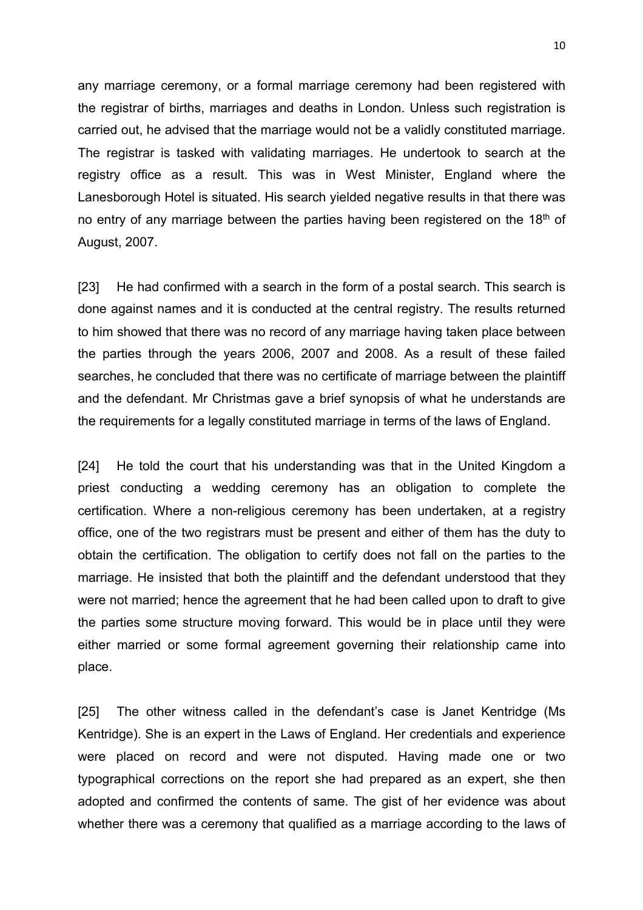any marriage ceremony, or a formal marriage ceremony had been registered with the registrar of births, marriages and deaths in London. Unless such registration is carried out, he advised that the marriage would not be a validly constituted marriage. The registrar is tasked with validating marriages. He undertook to search at the registry office as a result. This was in West Minister, England where the Lanesborough Hotel is situated. His search yielded negative results in that there was no entry of any marriage between the parties having been registered on the  $18<sup>th</sup>$  of August, 2007.

[23] He had confirmed with a search in the form of a postal search. This search is done against names and it is conducted at the central registry. The results returned to him showed that there was no record of any marriage having taken place between the parties through the years 2006, 2007 and 2008. As a result of these failed searches, he concluded that there was no certificate of marriage between the plaintiff and the defendant. Mr Christmas gave a brief synopsis of what he understands are the requirements for a legally constituted marriage in terms of the laws of England.

[24] He told the court that his understanding was that in the United Kingdom a priest conducting a wedding ceremony has an obligation to complete the certification. Where a non-religious ceremony has been undertaken, at a registry office, one of the two registrars must be present and either of them has the duty to obtain the certification. The obligation to certify does not fall on the parties to the marriage. He insisted that both the plaintiff and the defendant understood that they were not married; hence the agreement that he had been called upon to draft to give the parties some structure moving forward. This would be in place until they were either married or some formal agreement governing their relationship came into place.

[25] The other witness called in the defendant's case is Janet Kentridge (Ms Kentridge). She is an expert in the Laws of England. Her credentials and experience were placed on record and were not disputed. Having made one or two typographical corrections on the report she had prepared as an expert, she then adopted and confirmed the contents of same. The gist of her evidence was about whether there was a ceremony that qualified as a marriage according to the laws of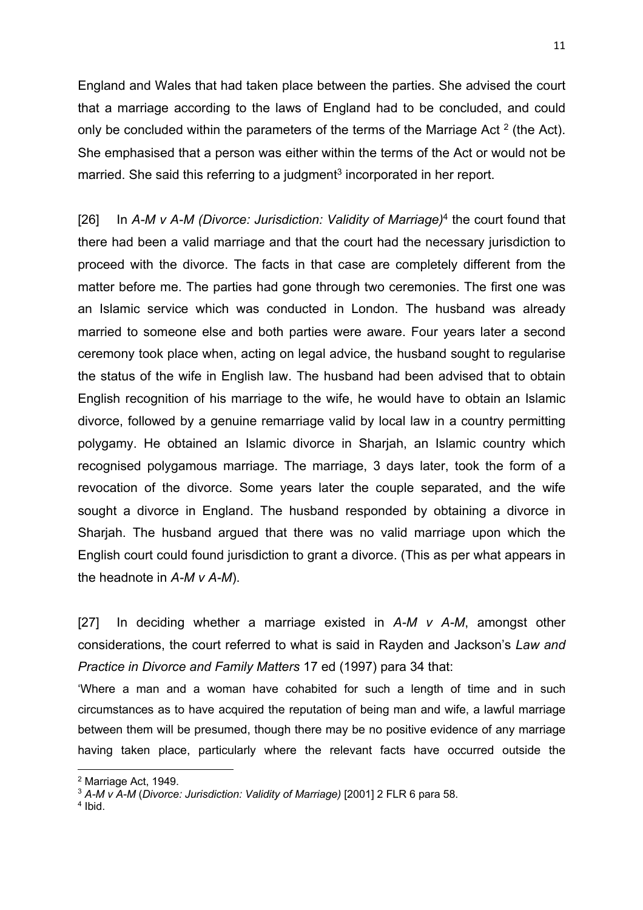England and Wales that had taken place between the parties. She advised the court that a marriage according to the laws of England had to be concluded, and could only be concluded within the parameters of the terms of the Marriage Act  $2$  (the Act). She emphasised that a person was either within the terms of the Act or would not be married. She said this referring to a judgment<sup>3</sup> incorporated in her report.

[26] In *A-M v A-M (Divorce: Jurisdiction: Validity of Marriage)*<sup>4</sup> the court found that there had been a valid marriage and that the court had the necessary jurisdiction to proceed with the divorce. The facts in that case are completely different from the matter before me. The parties had gone through two ceremonies. The first one was an Islamic service which was conducted in London. The husband was already married to someone else and both parties were aware. Four years later a second ceremony took place when, acting on legal advice, the husband sought to regularise the status of the wife in English law. The husband had been advised that to obtain English recognition of his marriage to the wife, he would have to obtain an Islamic divorce, followed by a genuine remarriage valid by local law in a country permitting polygamy. He obtained an Islamic divorce in Sharjah, an Islamic country which recognised polygamous marriage. The marriage, 3 days later, took the form of a revocation of the divorce. Some years later the couple separated, and the wife sought a divorce in England. The husband responded by obtaining a divorce in Sharjah. The husband argued that there was no valid marriage upon which the English court could found jurisdiction to grant a divorce. (This as per what appears in the headnote in *A-M v A-M*).

[27] In deciding whether a marriage existed in *A-M v A-M*, amongst other considerations, the court referred to what is said in Rayden and Jackson's *Law and Practice in Divorce and Family Matters* 17 ed (1997) para 34 that:

'Where a man and a woman have cohabited for such a length of time and in such circumstances as to have acquired the reputation of being man and wife, a lawful marriage between them will be presumed, though there may be no positive evidence of any marriage having taken place, particularly where the relevant facts have occurred outside the

<sup>4</sup> Ibid.

<sup>2</sup> Marriage Act, 1949.

<sup>3</sup> *A-M v A-M* (*Divorce: Jurisdiction: Validity of Marriage)* [2001] 2 FLR 6 para 58.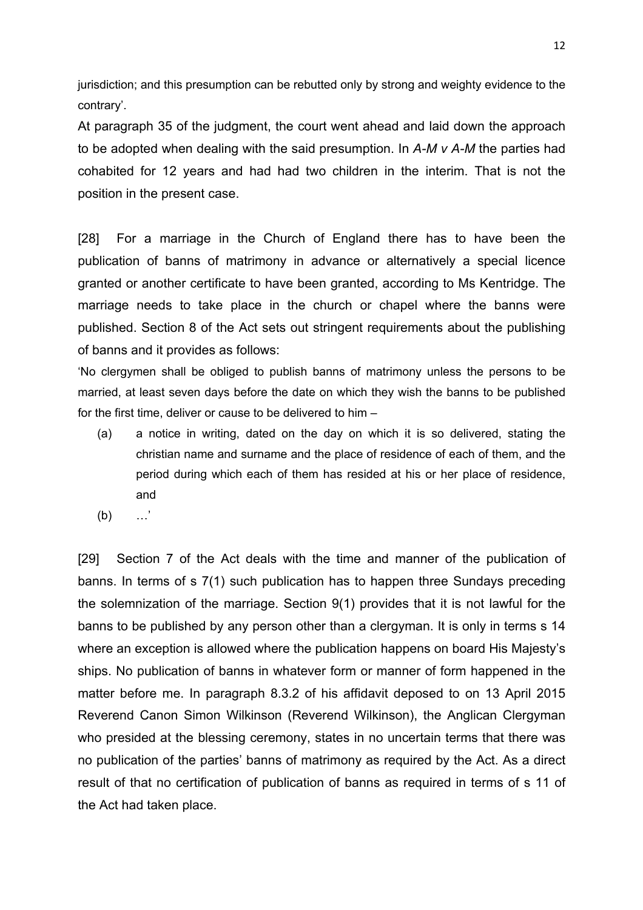jurisdiction; and this presumption can be rebutted only by strong and weighty evidence to the contrary'.

At paragraph 35 of the judgment, the court went ahead and laid down the approach to be adopted when dealing with the said presumption. In *A-M v A-M* the parties had cohabited for 12 years and had had two children in the interim. That is not the position in the present case.

[28] For a marriage in the Church of England there has to have been the publication of banns of matrimony in advance or alternatively a special licence granted or another certificate to have been granted, according to Ms Kentridge. The marriage needs to take place in the church or chapel where the banns were published. Section 8 of the Act sets out stringent requirements about the publishing of banns and it provides as follows:

'No clergymen shall be obliged to publish banns of matrimony unless the persons to be married, at least seven days before the date on which they wish the banns to be published for the first time, deliver or cause to be delivered to him –

- (a) a notice in writing, dated on the day on which it is so delivered, stating the christian name and surname and the place of residence of each of them, and the period during which each of them has resided at his or her place of residence, and
- (b) …'

[29] Section 7 of the Act deals with the time and manner of the publication of banns. In terms of s 7(1) such publication has to happen three Sundays preceding the solemnization of the marriage. Section 9(1) provides that it is not lawful for the banns to be published by any person other than a clergyman. It is only in terms s 14 where an exception is allowed where the publication happens on board His Majesty's ships. No publication of banns in whatever form or manner of form happened in the matter before me. In paragraph 8.3.2 of his affidavit deposed to on 13 April 2015 Reverend Canon Simon Wilkinson (Reverend Wilkinson), the Anglican Clergyman who presided at the blessing ceremony, states in no uncertain terms that there was no publication of the parties' banns of matrimony as required by the Act. As a direct result of that no certification of publication of banns as required in terms of s 11 of the Act had taken place.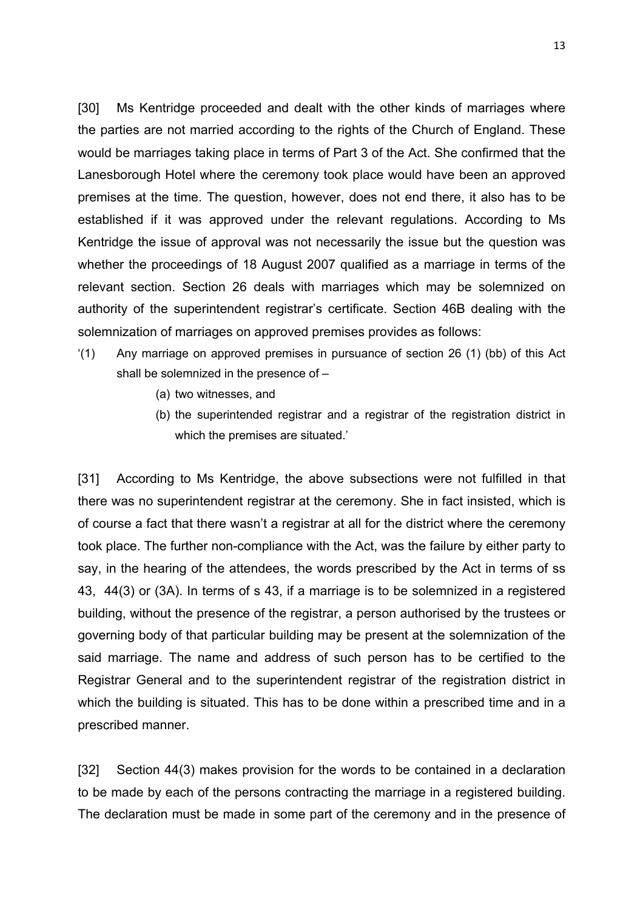[30] Ms Kentridge proceeded and dealt with the other kinds of marriages where the parties are not married according to the rights of the Church of England. These would be marriages taking place in terms of Part 3 of the Act. She confirmed that the Lanesborough Hotel where the ceremony took place would have been an approved premises at the time. The question, however, does not end there, it also has to be established if it was approved under the relevant regulations. According to Ms Kentridge the issue of approval was not necessarily the issue but the question was whether the proceedings of 18 August 2007 qualified as a marriage in terms of the relevant section. Section 26 deals with marriages which may be solemnized on authority of the superintendent registrar's certificate. Section 46B dealing with the solemnization of marriages on approved premises provides as follows:

- '(1) Any marriage on approved premises in pursuance of section 26 (1) (bb) of this Act shall be solemnized in the presence of –
	- (a) two witnesses, and
	- (b) the superintended registrar and a registrar of the registration district in which the premises are situated.'

[31] According to Ms Kentridge, the above subsections were not fulfilled in that there was no superintendent registrar at the ceremony. She in fact insisted, which is of course a fact that there wasn't a registrar at all for the district where the ceremony took place. The further non-compliance with the Act, was the failure by either party to say, in the hearing of the attendees, the words prescribed by the Act in terms of ss 43, 44(3) or (3A). In terms of s 43, if a marriage is to be solemnized in a registered building, without the presence of the registrar, a person authorised by the trustees or governing body of that particular building may be present at the solemnization of the said marriage. The name and address of such person has to be certified to the Registrar General and to the superintendent registrar of the registration district in which the building is situated. This has to be done within a prescribed time and in a prescribed manner.

[32] Section 44(3) makes provision for the words to be contained in a declaration to be made by each of the persons contracting the marriage in a registered building. The declaration must be made in some part of the ceremony and in the presence of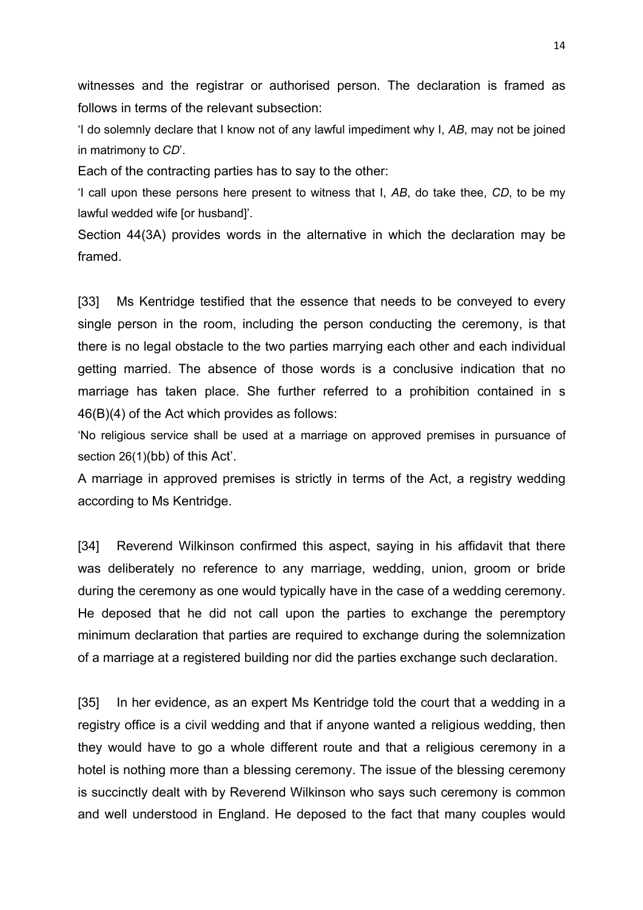witnesses and the registrar or authorised person. The declaration is framed as follows in terms of the relevant subsection:

'I do solemnly declare that I know not of any lawful impediment why I, *AB*, may not be joined in matrimony to *CD*'.

Each of the contracting parties has to say to the other:

'I call upon these persons here present to witness that I, *AB*, do take thee, *CD*, to be my lawful wedded wife [or husband]'.

Section 44(3A) provides words in the alternative in which the declaration may be framed.

[33] Ms Kentridge testified that the essence that needs to be conveyed to every single person in the room, including the person conducting the ceremony, is that there is no legal obstacle to the two parties marrying each other and each individual getting married. The absence of those words is a conclusive indication that no marriage has taken place. She further referred to a prohibition contained in s 46(B)(4) of the Act which provides as follows:

'No religious service shall be used at a marriage on approved premises in pursuance of section 26(1)(bb) of this Act'.

A marriage in approved premises is strictly in terms of the Act, a registry wedding according to Ms Kentridge.

[34] Reverend Wilkinson confirmed this aspect, saying in his affidavit that there was deliberately no reference to any marriage, wedding, union, groom or bride during the ceremony as one would typically have in the case of a wedding ceremony. He deposed that he did not call upon the parties to exchange the peremptory minimum declaration that parties are required to exchange during the solemnization of a marriage at a registered building nor did the parties exchange such declaration.

[35] In her evidence, as an expert Ms Kentridge told the court that a wedding in a registry office is a civil wedding and that if anyone wanted a religious wedding, then they would have to go a whole different route and that a religious ceremony in a hotel is nothing more than a blessing ceremony. The issue of the blessing ceremony is succinctly dealt with by Reverend Wilkinson who says such ceremony is common and well understood in England. He deposed to the fact that many couples would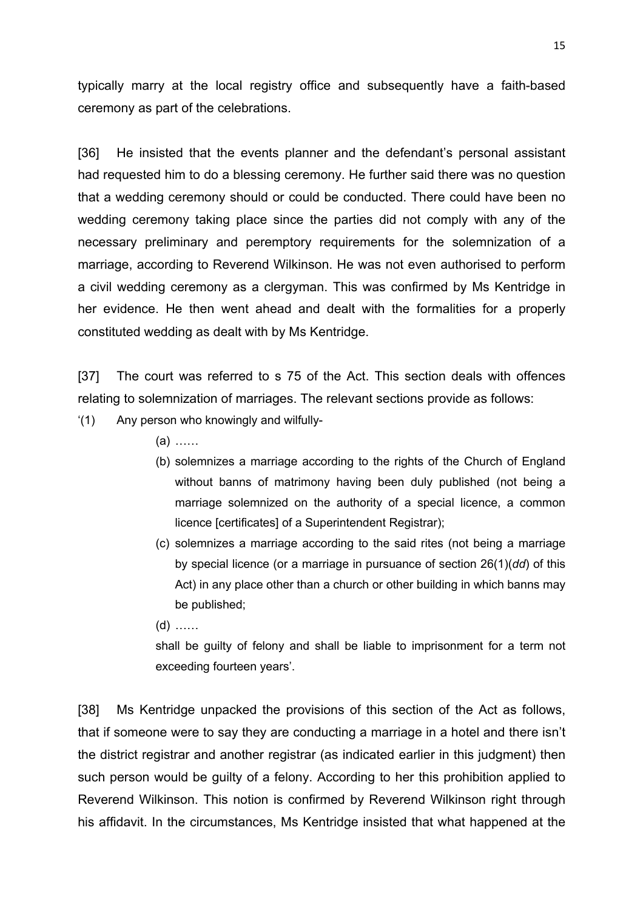typically marry at the local registry office and subsequently have a faith-based ceremony as part of the celebrations.

[36] He insisted that the events planner and the defendant's personal assistant had requested him to do a blessing ceremony. He further said there was no question that a wedding ceremony should or could be conducted. There could have been no wedding ceremony taking place since the parties did not comply with any of the necessary preliminary and peremptory requirements for the solemnization of a marriage, according to Reverend Wilkinson. He was not even authorised to perform a civil wedding ceremony as a clergyman. This was confirmed by Ms Kentridge in her evidence. He then went ahead and dealt with the formalities for a properly constituted wedding as dealt with by Ms Kentridge.

[37] The court was referred to s 75 of the Act. This section deals with offences relating to solemnization of marriages. The relevant sections provide as follows:

- '(1) Any person who knowingly and wilfully-
	- (a) ……
	- (b) solemnizes a marriage according to the rights of the Church of England without banns of matrimony having been duly published (not being a marriage solemnized on the authority of a special licence, a common licence [certificates] of a Superintendent Registrar);
	- (c) solemnizes a marriage according to the said rites (not being a marriage by special licence (or a marriage in pursuance of section 26(1)(*dd*) of this Act) in any place other than a church or other building in which banns may be published;
	- (d) ……

shall be guilty of felony and shall be liable to imprisonment for a term not exceeding fourteen years'.

[38] Ms Kentridge unpacked the provisions of this section of the Act as follows, that if someone were to say they are conducting a marriage in a hotel and there isn't the district registrar and another registrar (as indicated earlier in this judgment) then such person would be guilty of a felony. According to her this prohibition applied to Reverend Wilkinson. This notion is confirmed by Reverend Wilkinson right through his affidavit. In the circumstances, Ms Kentridge insisted that what happened at the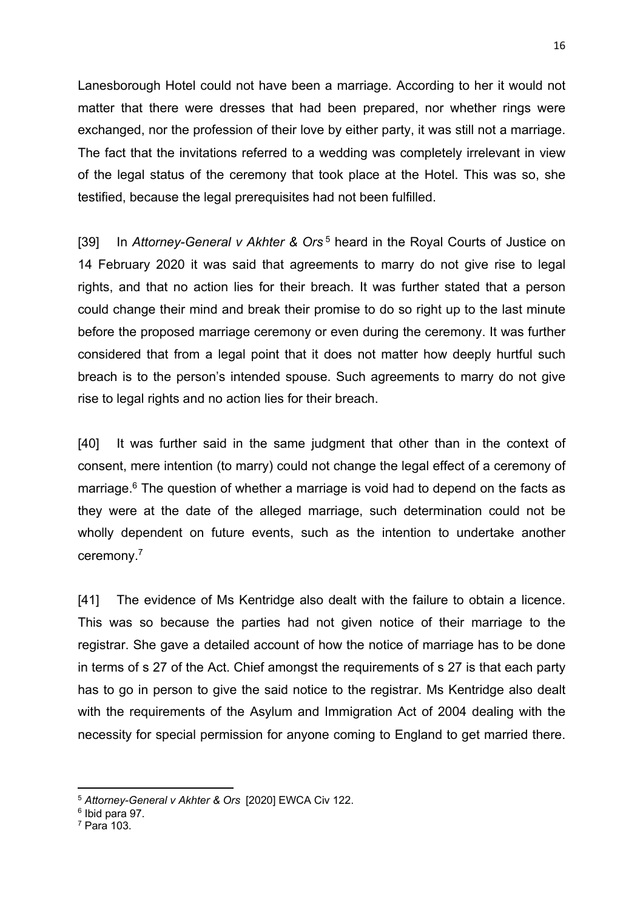Lanesborough Hotel could not have been a marriage. According to her it would not matter that there were dresses that had been prepared, nor whether rings were exchanged, nor the profession of their love by either party, it was still not a marriage. The fact that the invitations referred to a wedding was completely irrelevant in view of the legal status of the ceremony that took place at the Hotel. This was so, she testified, because the legal prerequisites had not been fulfilled.

[39] In *Attorney-General v Akhter & Ors* <sup>5</sup> heard in the Royal Courts of Justice on 14 February 2020 it was said that agreements to marry do not give rise to legal rights, and that no action lies for their breach. It was further stated that a person could change their mind and break their promise to do so right up to the last minute before the proposed marriage ceremony or even during the ceremony. It was further considered that from a legal point that it does not matter how deeply hurtful such breach is to the person's intended spouse. Such agreements to marry do not give rise to legal rights and no action lies for their breach.

[40] It was further said in the same judgment that other than in the context of consent, mere intention (to marry) could not change the legal effect of a ceremony of marriage. <sup>6</sup> The question of whether a marriage is void had to depend on the facts as they were at the date of the alleged marriage, such determination could not be wholly dependent on future events, such as the intention to undertake another ceremony.<sup>7</sup>

[41] The evidence of Ms Kentridge also dealt with the failure to obtain a licence. This was so because the parties had not given notice of their marriage to the registrar. She gave a detailed account of how the notice of marriage has to be done in terms of s 27 of the Act. Chief amongst the requirements of s 27 is that each party has to go in person to give the said notice to the registrar. Ms Kentridge also dealt with the requirements of the Asylum and Immigration Act of 2004 dealing with the necessity for special permission for anyone coming to England to get married there.

<sup>5</sup> *Attorney-General v Akhter & Ors* [2020] EWCA Civ 122.

<sup>6</sup> Ibid para 97.

 $<sup>7</sup>$  Para 103.</sup>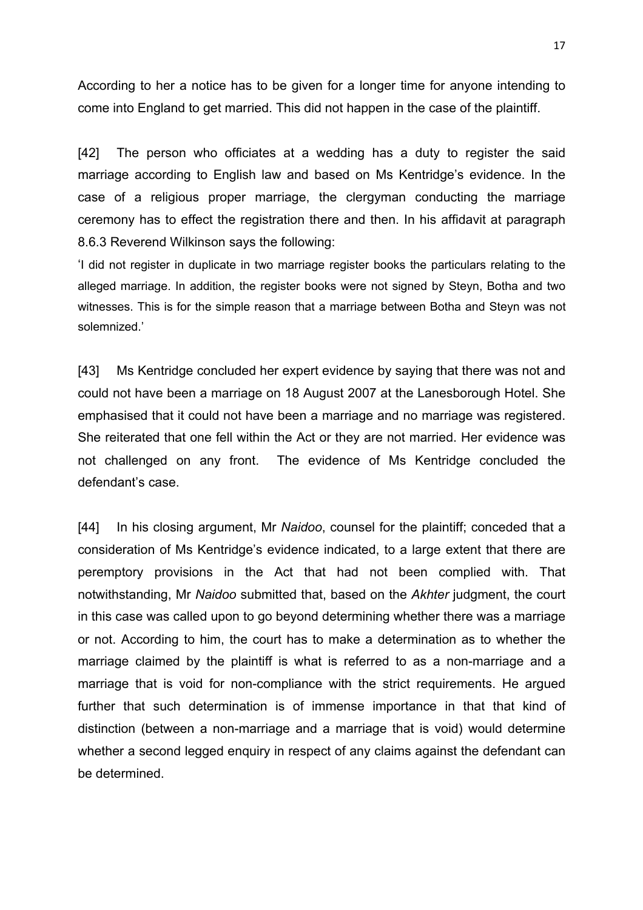According to her a notice has to be given for a longer time for anyone intending to come into England to get married. This did not happen in the case of the plaintiff.

[42] The person who officiates at a wedding has a duty to register the said marriage according to English law and based on Ms Kentridge's evidence. In the case of a religious proper marriage, the clergyman conducting the marriage ceremony has to effect the registration there and then. In his affidavit at paragraph 8.6.3 Reverend Wilkinson says the following:

'I did not register in duplicate in two marriage register books the particulars relating to the alleged marriage. In addition, the register books were not signed by Steyn, Botha and two witnesses. This is for the simple reason that a marriage between Botha and Steyn was not solemnized.'

[43] Ms Kentridge concluded her expert evidence by saying that there was not and could not have been a marriage on 18 August 2007 at the Lanesborough Hotel. She emphasised that it could not have been a marriage and no marriage was registered. She reiterated that one fell within the Act or they are not married. Her evidence was not challenged on any front. The evidence of Ms Kentridge concluded the defendant's case.

[44] In his closing argument, Mr *Naidoo*, counsel for the plaintiff; conceded that a consideration of Ms Kentridge's evidence indicated, to a large extent that there are peremptory provisions in the Act that had not been complied with. That notwithstanding, Mr *Naidoo* submitted that, based on the *Akhter* judgment, the court in this case was called upon to go beyond determining whether there was a marriage or not. According to him, the court has to make a determination as to whether the marriage claimed by the plaintiff is what is referred to as a non-marriage and a marriage that is void for non-compliance with the strict requirements. He argued further that such determination is of immense importance in that that kind of distinction (between a non-marriage and a marriage that is void) would determine whether a second legged enquiry in respect of any claims against the defendant can be determined.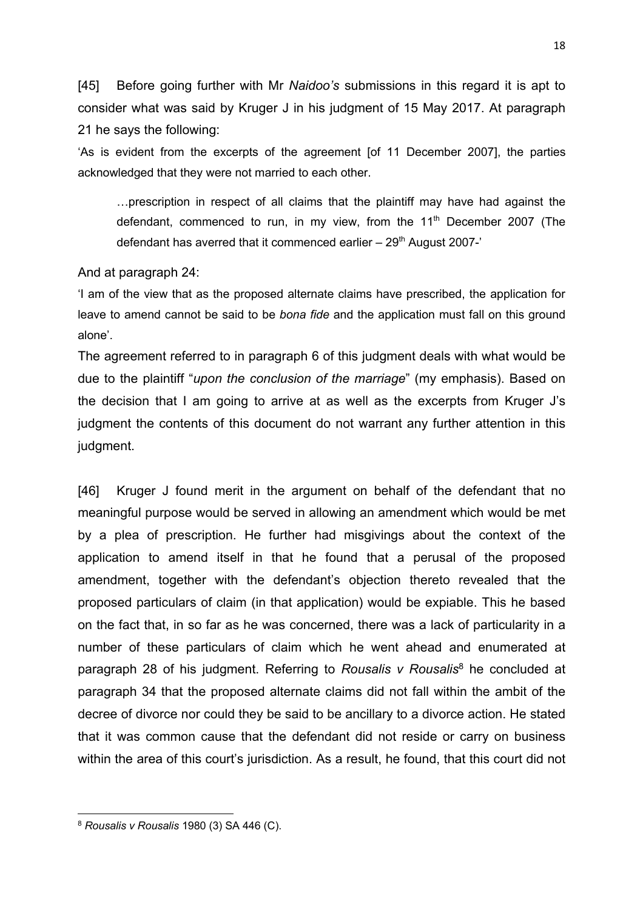[45] Before going further with Mr *Naidoo's* submissions in this regard it is apt to consider what was said by Kruger J in his judgment of 15 May 2017. At paragraph 21 he says the following:

'As is evident from the excerpts of the agreement [of 11 December 2007], the parties acknowledged that they were not married to each other.

…prescription in respect of all claims that the plaintiff may have had against the defendant, commenced to run, in my view, from the  $11<sup>th</sup>$  December 2007 (The defendant has averred that it commenced earlier  $-29<sup>th</sup>$  August 2007-'

#### And at paragraph 24:

'I am of the view that as the proposed alternate claims have prescribed, the application for leave to amend cannot be said to be *bona fide* and the application must fall on this ground alone'.

The agreement referred to in paragraph 6 of this judgment deals with what would be due to the plaintiff "*upon the conclusion of the marriage*" (my emphasis). Based on the decision that I am going to arrive at as well as the excerpts from Kruger J's judgment the contents of this document do not warrant any further attention in this judgment.

[46] Kruger J found merit in the argument on behalf of the defendant that no meaningful purpose would be served in allowing an amendment which would be met by a plea of prescription. He further had misgivings about the context of the application to amend itself in that he found that a perusal of the proposed amendment, together with the defendant's objection thereto revealed that the proposed particulars of claim (in that application) would be expiable. This he based on the fact that, in so far as he was concerned, there was a lack of particularity in a number of these particulars of claim which he went ahead and enumerated at paragraph 28 of his judgment. Referring to *Rousalis v Rousalis*<sup>8</sup> he concluded at paragraph 34 that the proposed alternate claims did not fall within the ambit of the decree of divorce nor could they be said to be ancillary to a divorce action. He stated that it was common cause that the defendant did not reside or carry on business within the area of this court's jurisdiction. As a result, he found, that this court did not

<sup>8</sup> *Rousalis v Rousalis* 1980 (3) SA 446 (C).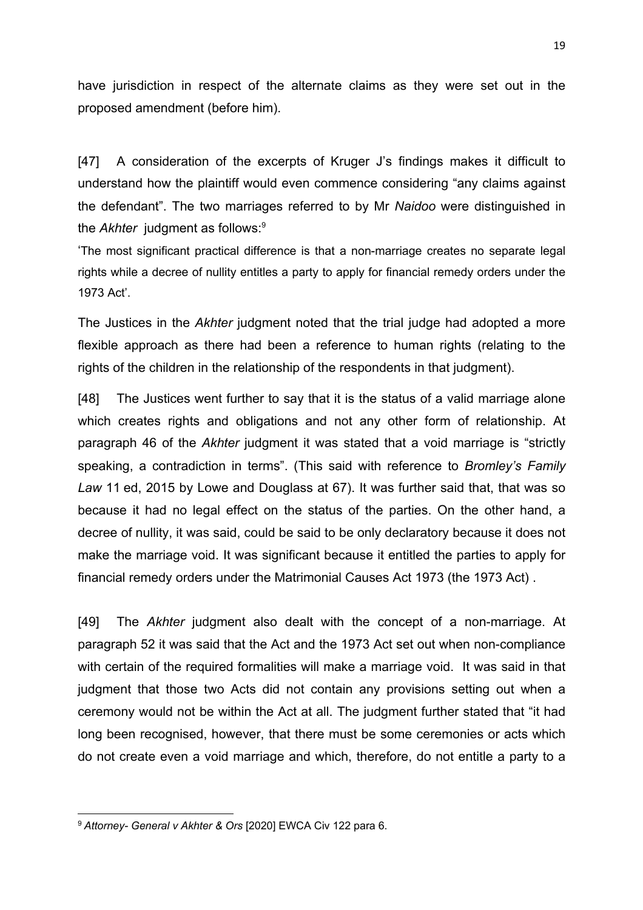have jurisdiction in respect of the alternate claims as they were set out in the proposed amendment (before him).

[47] A consideration of the excerpts of Kruger J's findings makes it difficult to understand how the plaintiff would even commence considering "any claims against the defendant". The two marriages referred to by Mr *Naidoo* were distinguished in the *Akhter* judgment as follows:<sup>9</sup>

'The most significant practical difference is that a non-marriage creates no separate legal rights while a decree of nullity entitles a party to apply for financial remedy orders under the 1973 Act'.

The Justices in the *Akhter* judgment noted that the trial judge had adopted a more flexible approach as there had been a reference to human rights (relating to the rights of the children in the relationship of the respondents in that judgment).

[48] The Justices went further to say that it is the status of a valid marriage alone which creates rights and obligations and not any other form of relationship. At paragraph 46 of the *Akhter* judgment it was stated that a void marriage is "strictly speaking, a contradiction in terms". (This said with reference to *Bromley's Family Law* 11 ed, 2015 by Lowe and Douglass at 67). It was further said that, that was so because it had no legal effect on the status of the parties. On the other hand, a decree of nullity, it was said, could be said to be only declaratory because it does not make the marriage void. It was significant because it entitled the parties to apply for financial remedy orders under the Matrimonial Causes Act 1973 (the 1973 Act) .

[49] The *Akhter* judgment also dealt with the concept of a non-marriage. At paragraph 52 it was said that the Act and the 1973 Act set out when non-compliance with certain of the required formalities will make a marriage void. It was said in that judgment that those two Acts did not contain any provisions setting out when a ceremony would not be within the Act at all. The judgment further stated that "it had long been recognised, however, that there must be some ceremonies or acts which do not create even a void marriage and which, therefore, do not entitle a party to a

<sup>9</sup> *Attorney- General v Akhter & Ors* [2020] EWCA Civ 122 para 6.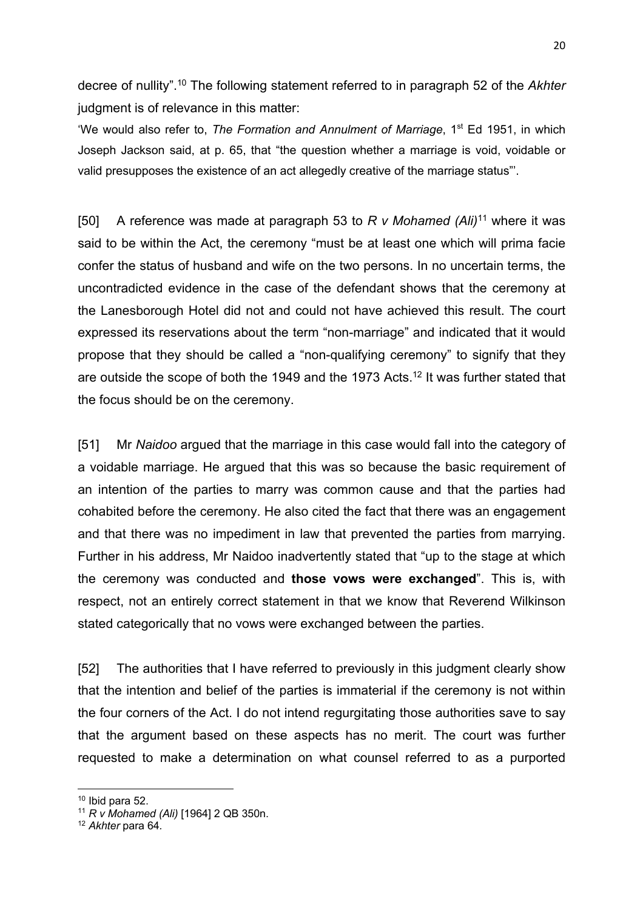decree of nullity". <sup>10</sup> The following statement referred to in paragraph 52 of the *Akhter* judgment is of relevance in this matter:

'We would also refer to, *The Formation and Annulment of Marriage*, 1<sup>st</sup> Ed 1951, in which Joseph Jackson said, at p. 65, that "the question whether a marriage is void, voidable or valid presupposes the existence of an act allegedly creative of the marriage status"'.

[50] A reference was made at paragraph 53 to *R v Mohamed (Ali)*<sup>11</sup> where it was said to be within the Act, the ceremony "must be at least one which will prima facie confer the status of husband and wife on the two persons. In no uncertain terms, the uncontradicted evidence in the case of the defendant shows that the ceremony at the Lanesborough Hotel did not and could not have achieved this result. The court expressed its reservations about the term "non-marriage" and indicated that it would propose that they should be called a "non-qualifying ceremony" to signify that they are outside the scope of both the 1949 and the 1973 Acts.<sup>12</sup> It was further stated that the focus should be on the ceremony.

[51] Mr *Naidoo* argued that the marriage in this case would fall into the category of a voidable marriage. He argued that this was so because the basic requirement of an intention of the parties to marry was common cause and that the parties had cohabited before the ceremony. He also cited the fact that there was an engagement and that there was no impediment in law that prevented the parties from marrying. Further in his address, Mr Naidoo inadvertently stated that "up to the stage at which the ceremony was conducted and **those vows were exchanged**". This is, with respect, not an entirely correct statement in that we know that Reverend Wilkinson stated categorically that no vows were exchanged between the parties.

[52] The authorities that I have referred to previously in this judgment clearly show that the intention and belief of the parties is immaterial if the ceremony is not within the four corners of the Act. I do not intend regurgitating those authorities save to say that the argument based on these aspects has no merit. The court was further requested to make a determination on what counsel referred to as a purported

 $10$  Ibid para 52.

<sup>11</sup> *R v Mohamed (Ali)* [1964] 2 QB 350n.

<sup>12</sup> *Akhter* para 64*.*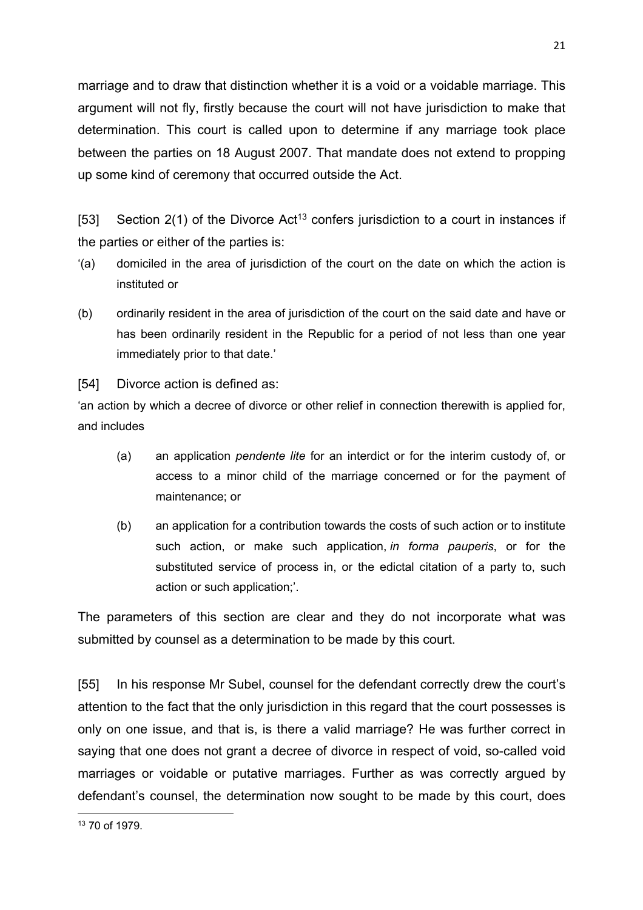marriage and to draw that distinction whether it is a void or a voidable marriage. This argument will not fly, firstly because the court will not have jurisdiction to make that determination. This court is called upon to determine if any marriage took place between the parties on 18 August 2007. That mandate does not extend to propping up some kind of ceremony that occurred outside the Act.

[53] Section  $2(1)$  of the Divorce Act<sup>13</sup> confers jurisdiction to a court in instances if the parties or either of the parties is:

- '(a) domiciled in the area of jurisdiction of the court on the date on which the action is instituted or
- (b) ordinarily resident in the area of jurisdiction of the court on the said date and have or has been ordinarily resident in the Republic for a period of not less than one year immediately prior to that date.'

[54] Divorce action is defined as:

'an action by which a decree of divorce or other relief in connection therewith is applied for, and includes

- (a) an application *pendente lite* for an interdict or for the interim custody of, or access to a minor child of the marriage concerned or for the payment of maintenance; or
- (b) an application for a contribution towards the costs of such action or to institute such action, or make such application, *in forma pauperis*, or for the substituted service of process in, or the edictal citation of a party to, such action or such application;'.

The parameters of this section are clear and they do not incorporate what was submitted by counsel as a determination to be made by this court.

[55] In his response Mr Subel, counsel for the defendant correctly drew the court's attention to the fact that the only jurisdiction in this regard that the court possesses is only on one issue, and that is, is there a valid marriage? He was further correct in saying that one does not grant a decree of divorce in respect of void, so-called void marriages or voidable or putative marriages. Further as was correctly argued by defendant's counsel, the determination now sought to be made by this court, does

<sup>21</sup>

<sup>13</sup> 70 of 1979.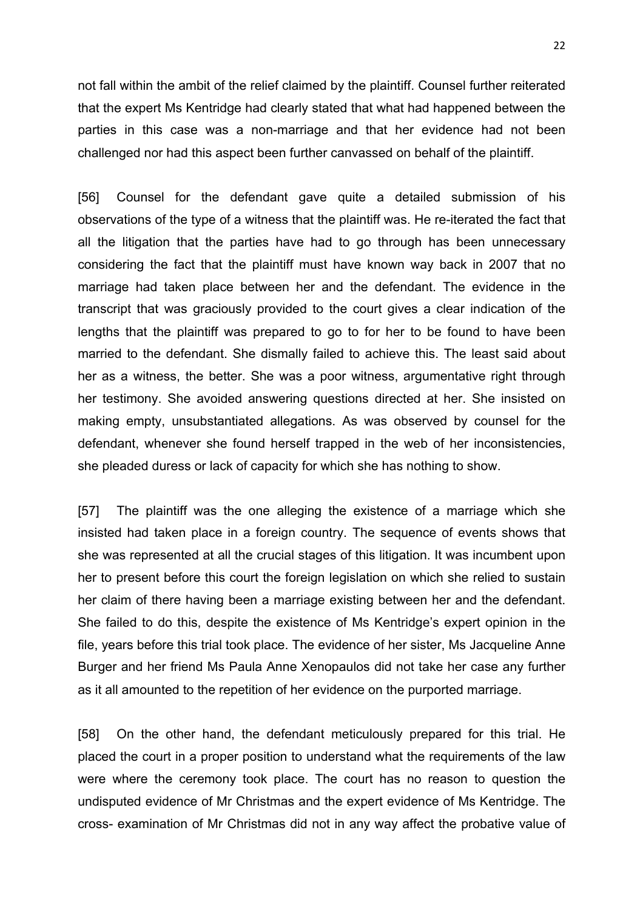not fall within the ambit of the relief claimed by the plaintiff. Counsel further reiterated that the expert Ms Kentridge had clearly stated that what had happened between the parties in this case was a non-marriage and that her evidence had not been challenged nor had this aspect been further canvassed on behalf of the plaintiff.

[56] Counsel for the defendant gave quite a detailed submission of his observations of the type of a witness that the plaintiff was. He re-iterated the fact that all the litigation that the parties have had to go through has been unnecessary considering the fact that the plaintiff must have known way back in 2007 that no marriage had taken place between her and the defendant. The evidence in the transcript that was graciously provided to the court gives a clear indication of the lengths that the plaintiff was prepared to go to for her to be found to have been married to the defendant. She dismally failed to achieve this. The least said about her as a witness, the better. She was a poor witness, argumentative right through her testimony. She avoided answering questions directed at her. She insisted on making empty, unsubstantiated allegations. As was observed by counsel for the defendant, whenever she found herself trapped in the web of her inconsistencies, she pleaded duress or lack of capacity for which she has nothing to show.

[57] The plaintiff was the one alleging the existence of a marriage which she insisted had taken place in a foreign country. The sequence of events shows that she was represented at all the crucial stages of this litigation. It was incumbent upon her to present before this court the foreign legislation on which she relied to sustain her claim of there having been a marriage existing between her and the defendant. She failed to do this, despite the existence of Ms Kentridge's expert opinion in the file, years before this trial took place. The evidence of her sister, Ms Jacqueline Anne Burger and her friend Ms Paula Anne Xenopaulos did not take her case any further as it all amounted to the repetition of her evidence on the purported marriage.

[58] On the other hand, the defendant meticulously prepared for this trial. He placed the court in a proper position to understand what the requirements of the law were where the ceremony took place. The court has no reason to question the undisputed evidence of Mr Christmas and the expert evidence of Ms Kentridge. The cross- examination of Mr Christmas did not in any way affect the probative value of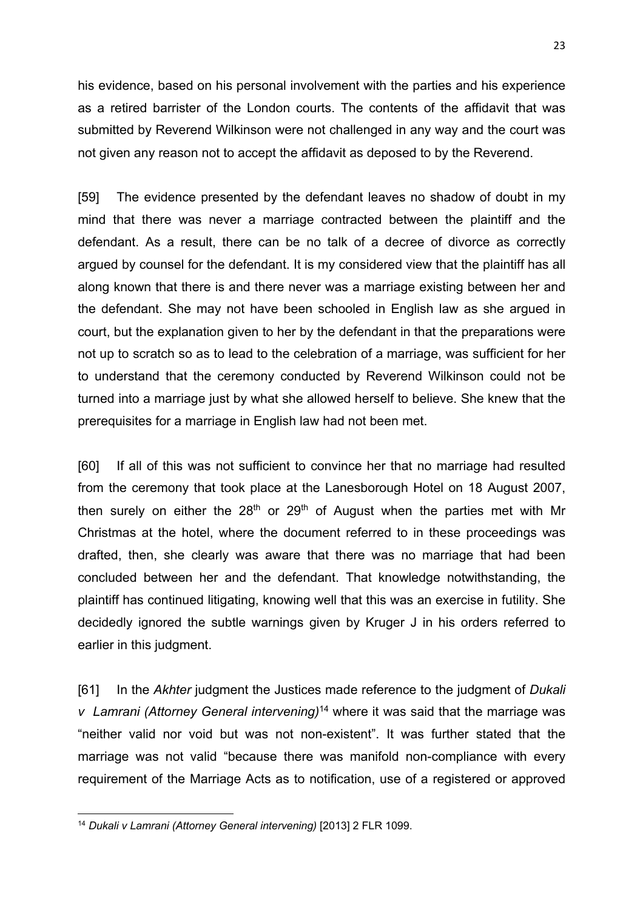his evidence, based on his personal involvement with the parties and his experience as a retired barrister of the London courts. The contents of the affidavit that was submitted by Reverend Wilkinson were not challenged in any way and the court was not given any reason not to accept the affidavit as deposed to by the Reverend.

[59] The evidence presented by the defendant leaves no shadow of doubt in my mind that there was never a marriage contracted between the plaintiff and the defendant. As a result, there can be no talk of a decree of divorce as correctly argued by counsel for the defendant. It is my considered view that the plaintiff has all along known that there is and there never was a marriage existing between her and the defendant. She may not have been schooled in English law as she argued in court, but the explanation given to her by the defendant in that the preparations were not up to scratch so as to lead to the celebration of a marriage, was sufficient for her to understand that the ceremony conducted by Reverend Wilkinson could not be turned into a marriage just by what she allowed herself to believe. She knew that the prerequisites for a marriage in English law had not been met.

[60] If all of this was not sufficient to convince her that no marriage had resulted from the ceremony that took place at the Lanesborough Hotel on 18 August 2007, then surely on either the  $28<sup>th</sup>$  or  $29<sup>th</sup>$  of August when the parties met with Mr Christmas at the hotel, where the document referred to in these proceedings was drafted, then, she clearly was aware that there was no marriage that had been concluded between her and the defendant. That knowledge notwithstanding, the plaintiff has continued litigating, knowing well that this was an exercise in futility. She decidedly ignored the subtle warnings given by Kruger J in his orders referred to earlier in this judgment.

[61] In the *Akhter* judgment the Justices made reference to the judgment of *Dukali v Lamrani (Attorney General intervening)*<sup>14</sup> where it was said that the marriage was "neither valid nor void but was not non-existent". It was further stated that the marriage was not valid "because there was manifold non-compliance with every requirement of the Marriage Acts as to notification, use of a registered or approved

<sup>14</sup> *Dukali v Lamrani (Attorney General intervening)* [2013] 2 FLR 1099.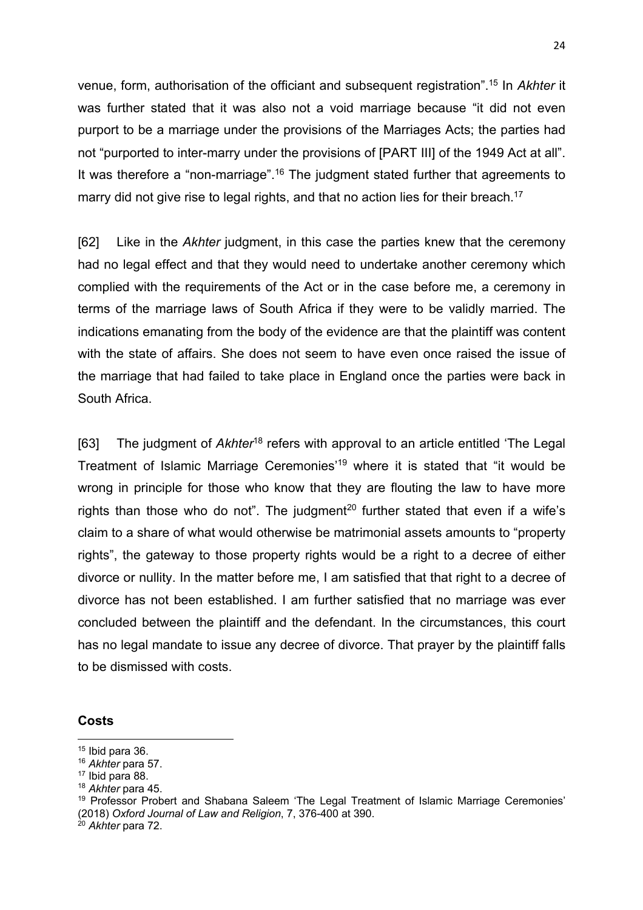venue, form, authorisation of the officiant and subsequent registration". <sup>15</sup> In *Akhter* it was further stated that it was also not a void marriage because "it did not even purport to be a marriage under the provisions of the Marriages Acts; the parties had not "purported to inter-marry under the provisions of [PART III] of the 1949 Act at all". It was therefore a "non-marriage".<sup>16</sup> The judgment stated further that agreements to marry did not give rise to legal rights, and that no action lies for their breach.<sup>17</sup>

[62] Like in the *Akhter* judgment, in this case the parties knew that the ceremony had no legal effect and that they would need to undertake another ceremony which complied with the requirements of the Act or in the case before me, a ceremony in terms of the marriage laws of South Africa if they were to be validly married. The indications emanating from the body of the evidence are that the plaintiff was content with the state of affairs. She does not seem to have even once raised the issue of the marriage that had failed to take place in England once the parties were back in South Africa.

[63] The judgment of *Akhter*<sup>18</sup> refers with approval to an article entitled 'The Legal Treatment of Islamic Marriage Ceremonies' <sup>19</sup> where it is stated that "it would be wrong in principle for those who know that they are flouting the law to have more rights than those who do not". The judgment<sup>20</sup> further stated that even if a wife's claim to a share of what would otherwise be matrimonial assets amounts to "property rights", the gateway to those property rights would be a right to a decree of either divorce or nullity. In the matter before me, I am satisfied that that right to a decree of divorce has not been established. I am further satisfied that no marriage was ever concluded between the plaintiff and the defendant. In the circumstances, this court has no legal mandate to issue any decree of divorce. That prayer by the plaintiff falls to be dismissed with costs.

#### **Costs**

 $15$  Ibid para 36.

<sup>16</sup> *Akhter* para 57.

<sup>17</sup> Ibid para 88.

<sup>18</sup> *Akhter* para 45.

<sup>&</sup>lt;sup>19</sup> Professor Probert and Shabana Saleem 'The Legal Treatment of Islamic Marriage Ceremonies' (2018) *Oxford Journal of Law and Religion*, 7, 376-400 at 390.

<sup>20</sup> *Akhter* para 72.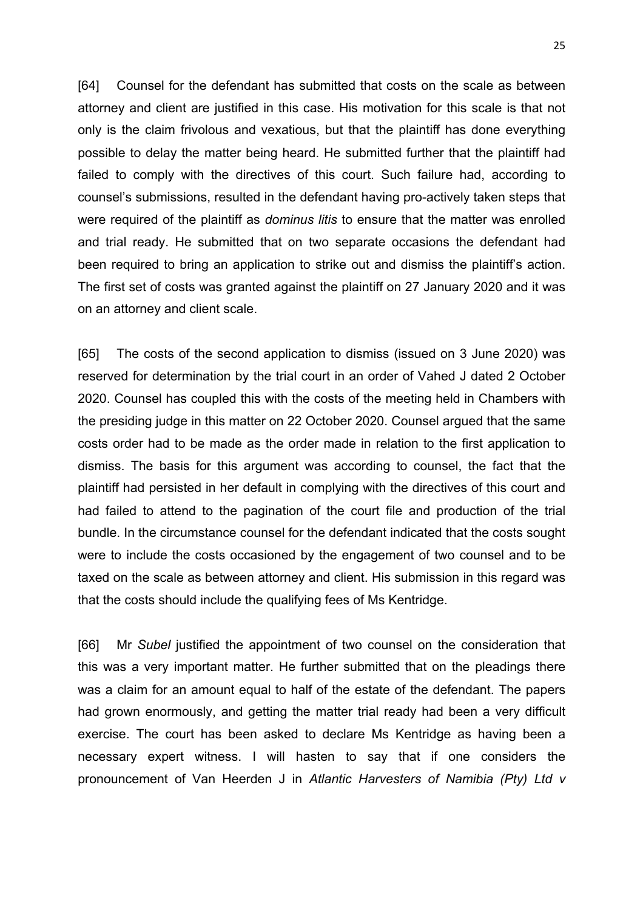[64] Counsel for the defendant has submitted that costs on the scale as between attorney and client are justified in this case. His motivation for this scale is that not only is the claim frivolous and vexatious, but that the plaintiff has done everything possible to delay the matter being heard. He submitted further that the plaintiff had failed to comply with the directives of this court. Such failure had, according to counsel's submissions, resulted in the defendant having pro-actively taken steps that were required of the plaintiff as *dominus litis* to ensure that the matter was enrolled and trial ready. He submitted that on two separate occasions the defendant had been required to bring an application to strike out and dismiss the plaintiff's action. The first set of costs was granted against the plaintiff on 27 January 2020 and it was on an attorney and client scale.

[65] The costs of the second application to dismiss (issued on 3 June 2020) was reserved for determination by the trial court in an order of Vahed J dated 2 October 2020. Counsel has coupled this with the costs of the meeting held in Chambers with the presiding judge in this matter on 22 October 2020. Counsel argued that the same costs order had to be made as the order made in relation to the first application to dismiss. The basis for this argument was according to counsel, the fact that the plaintiff had persisted in her default in complying with the directives of this court and had failed to attend to the pagination of the court file and production of the trial bundle. In the circumstance counsel for the defendant indicated that the costs sought were to include the costs occasioned by the engagement of two counsel and to be taxed on the scale as between attorney and client. His submission in this regard was that the costs should include the qualifying fees of Ms Kentridge.

[66] Mr *Subel* justified the appointment of two counsel on the consideration that this was a very important matter. He further submitted that on the pleadings there was a claim for an amount equal to half of the estate of the defendant. The papers had grown enormously, and getting the matter trial ready had been a very difficult exercise. The court has been asked to declare Ms Kentridge as having been a necessary expert witness. I will hasten to say that if one considers the pronouncement of Van Heerden J in *Atlantic Harvesters of Namibia (Pty) Ltd v*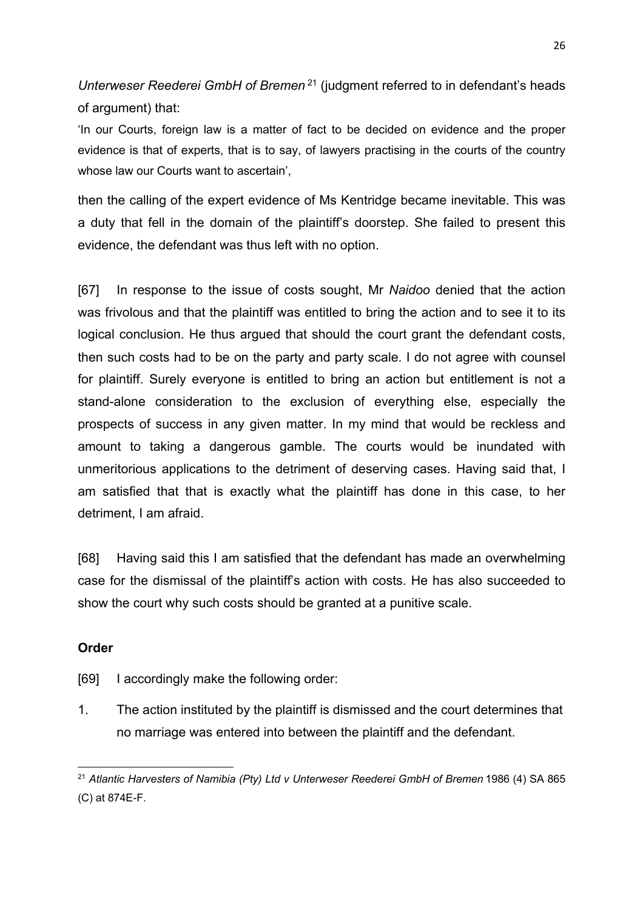*Unterweser Reederei GmbH of Bremen* <sup>21</sup> (judgment referred to in defendant's heads of argument) that:

'In our Courts, foreign law is a matter of fact to be decided on evidence and the proper evidence is that of experts, that is to say, of lawyers practising in the courts of the country whose law our Courts want to ascertain',

then the calling of the expert evidence of Ms Kentridge became inevitable. This was a duty that fell in the domain of the plaintiff's doorstep. She failed to present this evidence, the defendant was thus left with no option.

[67] In response to the issue of costs sought, Mr *Naidoo* denied that the action was frivolous and that the plaintiff was entitled to bring the action and to see it to its logical conclusion. He thus argued that should the court grant the defendant costs, then such costs had to be on the party and party scale. I do not agree with counsel for plaintiff. Surely everyone is entitled to bring an action but entitlement is not a stand-alone consideration to the exclusion of everything else, especially the prospects of success in any given matter. In my mind that would be reckless and amount to taking a dangerous gamble. The courts would be inundated with unmeritorious applications to the detriment of deserving cases. Having said that, I am satisfied that that is exactly what the plaintiff has done in this case, to her detriment, I am afraid.

[68] Having said this I am satisfied that the defendant has made an overwhelming case for the dismissal of the plaintiff's action with costs. He has also succeeded to show the court why such costs should be granted at a punitive scale.

### **Order**

[69] I accordingly make the following order:

1. The action instituted by the plaintiff is dismissed and the court determines that no marriage was entered into between the plaintiff and the defendant.

<sup>21</sup> *Atlantic Harvesters of Namibia (Pty) Ltd v Unterweser Reederei GmbH of Bremen* 1986 (4) SA 865 (C) at 874E-F.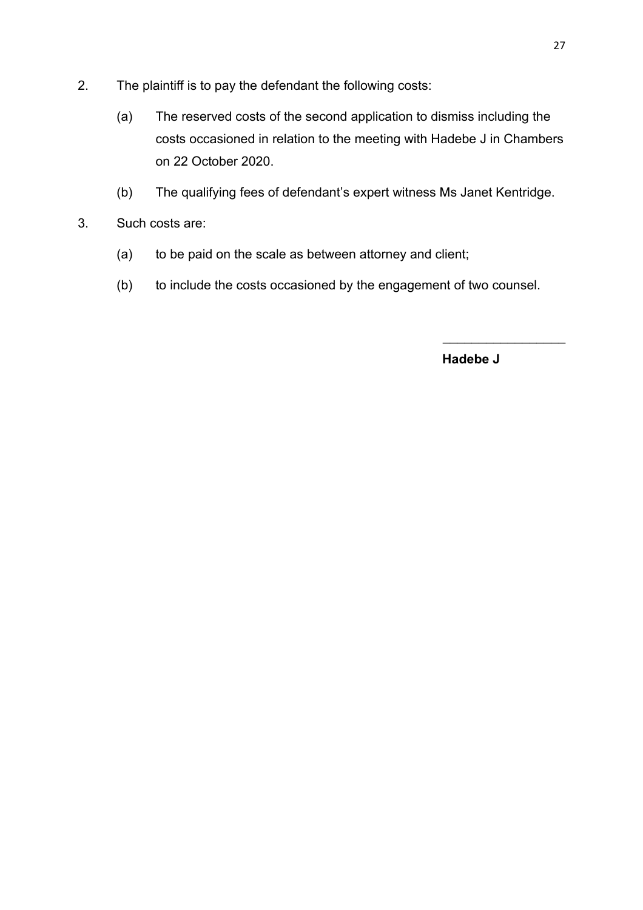- 2. The plaintiff is to pay the defendant the following costs:
	- (a) The reserved costs of the second application to dismiss including the costs occasioned in relation to the meeting with Hadebe J in Chambers on 22 October 2020.
	- (b) The qualifying fees of defendant's expert witness Ms Janet Kentridge.
- 3. Such costs are:
	- (a) to be paid on the scale as between attorney and client;
	- (b) to include the costs occasioned by the engagement of two counsel.

 **Hadebe J**

 $\overline{\phantom{a}}$  . The set of the set of the set of the set of the set of the set of the set of the set of the set of the set of the set of the set of the set of the set of the set of the set of the set of the set of the set o